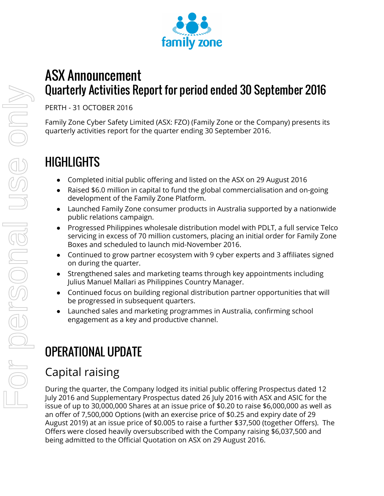

# ASX Announcement Quarterly Activities Report for period ended 30 September 2016

PERTH - 31 OCTOBER 2016

Family Zone Cyber Safety Limited (ASX: FZO) (Family Zone or the Company) presents its quarterly activities report for the quarter ending 30 September 2016.

# **HIGHLIGHTS**

- Completed initial public offering and listed on the ASX on 29 August 2016
- Raised \$6.0 million in capital to fund the global commercialisation and on-going development of the Family Zone Platform.
- Launched Family Zone consumer products in Australia supported by a nationwide public relations campaign.
- Progressed Philippines wholesale distribution model with PDLT, a full service Telco servicing in excess of 70 million customers, placing an initial order for Family Zone Boxes and scheduled to launch mid-November 2016.
- Continued to grow partner ecosystem with 9 cyber experts and 3 affiliates signed on during the quarter.
- Strengthened sales and marketing teams through key appointments including Julius Manuel Mallari as Philippines Country Manager.
- Continued focus on building regional distribution partner opportunities that will be progressed in subsequent quarters.
- Launched sales and marketing programmes in Australia, confirming school engagement as a key and productive channel.

# OPERATIONAL UPDATE

## Capital raising

During the quarter, the Company lodged its initial public offering Prospectus dated 12 July 2016 and Supplementary Prospectus dated 26 July 2016 with ASX and ASIC for the issue of up to 30,000,000 Shares at an issue price of \$0.20 to raise \$6,000,000 as well as an offer of 7,500,000 Options (with an exercise price of \$0.25 and expiry date of 29 August 2019) at an issue price of \$0.005 to raise a further \$37,500 (together Offers). The Offers were closed heavily oversubscribed with the Company raising \$6,037,500 and being admitted to the Official Quotation on ASX on 29 August 2016.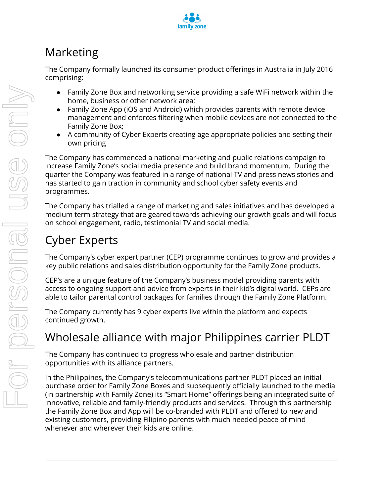

## Marketing

The Company formally launched its consumer product offerings in Australia in July 2016 comprising:

- Family Zone Box and networking service providing a safe WiFi network within the home, business or other network area;
- Family Zone App (iOS and Android) which provides parents with remote device management and enforces filtering when mobile devices are not connected to the Family Zone Box;
- A community of Cyber Experts creating age appropriate policies and setting their own pricing

The Company has commenced a national marketing and public relations campaign to increase Family Zone's social media presence and build brand momentum. During the quarter the Company was featured in a range of national TV and press news stories and has started to gain traction in community and school cyber safety events and programmes.

The Company has trialled a range of marketing and sales initiatives and has developed a medium term strategy that are geared towards achieving our growth goals and will focus on school engagement, radio, testimonial TV and social media.

## Cyber Experts

The Company's cyber expert partner (CEP) programme continues to grow and provides a key public relations and sales distribution opportunity for the Family Zone products.

CEP's are a unique feature of the Company's business model providing parents with access to ongoing support and advice from experts in their kid's digital world. CEPs are able to tailor parental control packages for families through the Family Zone Platform.

The Company currently has 9 cyber experts live within the platform and expects continued growth.

## Wholesale alliance with major Philippines carrier PLDT

The Company has continued to progress wholesale and partner distribution opportunities with its alliance partners.

In the Philippines, the Company's telecommunications partner PLDT placed an initial purchase order for Family Zone Boxes and subsequently officially launched to the media (in partnership with Family Zone) its "Smart Home" offerings being an integrated suite of innovative, reliable and family-friendly products and services. Through this partnership the Family Zone Box and App will be co-branded with PLDT and offered to new and existing customers, providing Filipino parents with much needed peace of mind whenever and wherever their kids are online.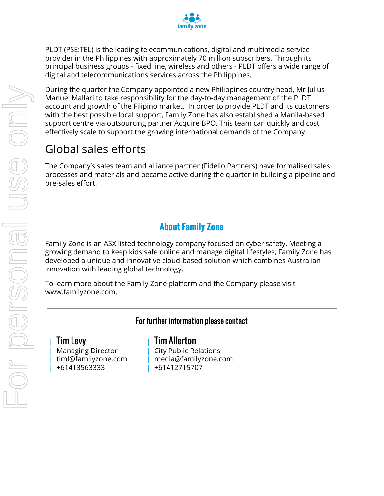

PLDT (PSE:TEL) is the leading telecommunications, digital and multimedia service provider in the Philippines with approximately 70 million subscribers. Through its principal business groups - fixed line, wireless and others - PLDT offers a wide range of digital and telecommunications services across the Philippines.

During the quarter the Company appointed a new Philippines country head, Mr Julius Manuel Mallari to take responsibility for the day-to-day management of the PLDT account and growth of the Filipino market. In order to provide PLDT and its customers with the best possible local support, Family Zone has also established a Manila-based support centre via outsourcing partner Acquire BPO. This team can quickly and cost effectively scale to support the growing international demands of the Company.

## Global sales efforts

The Company's sales team and alliance partner (Fidelio Partners) have formalised sales processes and materials and became active during the quarter in building a pipeline and pre-sales effort.

## **About Family Zone**

Family Zone is an ASX listed technology company focused on cyber safety. Meeting a growing demand to keep kids safe online and manage digital lifestyles, Family Zone has developed a unique and innovative cloud-based solution which combines Australian innovation with leading global technology.

To learn more about the Family Zone platform and the Company please visit www.familyzone.com.

For further information please contact

| Tim Levy | Managing Director | timl@familyzone.com | +61413563333

| Tim Allerton | City Public Relations | media@familyzone.com | +61412715707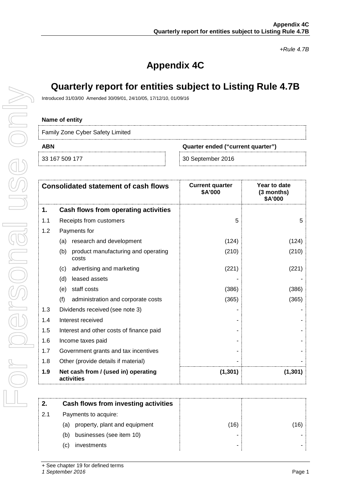*+Rule 4.7B*

## **Appendix 4C**

## **Quarterly report for entities subject to Listing Rule 4.7B**

Introduced 31/03/00 Amended 30/09/01, 24/10/05, 17/12/10, 01/09/16

#### **Name of entity**

Family Zone Cyber Safety Limited

**ABN Quarter ended ("current quarter")**

33 167 509 177 30 September 2016

|     | <b>Consolidated statement of cash flows</b>         | <b>Current quarter</b><br>\$A'000 | Year to date<br>(3 months)<br>\$A'000 |
|-----|-----------------------------------------------------|-----------------------------------|---------------------------------------|
| 1.  | Cash flows from operating activities                |                                   |                                       |
| 1.1 | Receipts from customers                             | 5                                 | 5                                     |
| 1.2 | Payments for                                        |                                   |                                       |
|     | research and development<br>(a)                     | (124)                             | (124)                                 |
|     | product manufacturing and operating<br>(b)<br>costs | (210)                             | (210)                                 |
|     | advertising and marketing<br>(c)                    | (221)                             | (221)                                 |
|     | leased assets<br>(d)                                |                                   |                                       |
|     | staff costs<br>(e)                                  | (386)                             | (386)                                 |
|     | (f)<br>administration and corporate costs           | (365)                             | (365)                                 |
| 1.3 | Dividends received (see note 3)                     |                                   |                                       |
| 1.4 | Interest received                                   |                                   |                                       |
| 1.5 | Interest and other costs of finance paid            |                                   |                                       |
| 1.6 | Income taxes paid                                   |                                   |                                       |
| 1.7 | Government grants and tax incentives                |                                   |                                       |
| 1.8 | Other (provide details if material)                 |                                   |                                       |
| 1.9 | Net cash from / (used in) operating<br>activities   | (1, 301)                          | (1, 301)                              |

|     | Cash flows from investing activities |      |  |
|-----|--------------------------------------|------|--|
| 2.1 | Payments to acquire:                 |      |  |
|     | property, plant and equipment<br>(a) | (16) |  |
|     | businesses (see item 10)<br>(b)      |      |  |
|     | investments<br>'C)                   |      |  |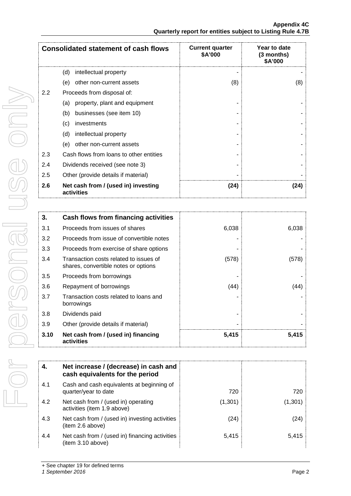|     | <b>Consolidated statement of cash flows</b>       | <b>Current quarter</b><br>\$A'000 | Year to date<br>(3 months)<br>\$A'000 |
|-----|---------------------------------------------------|-----------------------------------|---------------------------------------|
|     | intellectual property<br>(d)                      |                                   |                                       |
|     | (e)<br>other non-current assets                   | (8)                               | (8)                                   |
| 2.2 | Proceeds from disposal of:                        |                                   |                                       |
|     | property, plant and equipment<br>(a)              |                                   |                                       |
|     | businesses (see item 10)<br>(b)                   |                                   |                                       |
|     | (c)<br>investments                                |                                   |                                       |
|     | intellectual property<br>(d)                      |                                   |                                       |
|     | other non-current assets<br>(e)                   |                                   |                                       |
| 2.3 | Cash flows from loans to other entities           |                                   |                                       |
| 2.4 | Dividends received (see note 3)                   |                                   |                                       |
| 2.5 | Other (provide details if material)               |                                   |                                       |
| 2.6 | Net cash from / (used in) investing<br>activities | (24)                              | (24)                                  |

| 3.   | Cash flows from financing activities                                           |       |       |
|------|--------------------------------------------------------------------------------|-------|-------|
| 3.1  | Proceeds from issues of shares                                                 | 6,038 | 6,038 |
| 3.2  | Proceeds from issue of convertible notes                                       |       |       |
| 3.3  | Proceeds from exercise of share options                                        |       |       |
| 3.4  | Transaction costs related to issues of<br>shares, convertible notes or options | (578) | (578) |
| 3.5  | Proceeds from borrowings                                                       |       |       |
| 3.6  | Repayment of borrowings                                                        | (44)  | (44)  |
| 3.7  | Transaction costs related to loans and<br>borrowings                           |       |       |
| 3.8  | Dividends paid                                                                 |       |       |
| 3.9  | Other (provide details if material)                                            |       |       |
| 3.10 | Net cash from / (used in) financing<br>activities                              | 5,415 | 5,415 |

| 4.  | Net increase / (decrease) in cash and<br>cash equivalents for the period |         |         |
|-----|--------------------------------------------------------------------------|---------|---------|
| 4.1 | Cash and cash equivalents at beginning of<br>quarter/year to date        | 720     | 720     |
| 4.2 | Net cash from / (used in) operating<br>activities (item 1.9 above)       | (1,301) | (1,301) |
| 4.3 | Net cash from / (used in) investing activities<br>(item 2.6 above)       | (24)    | (24)    |
| 4.4 | Net cash from / (used in) financing activities<br>(item 3.10 above)      | 5.415   | 5.415   |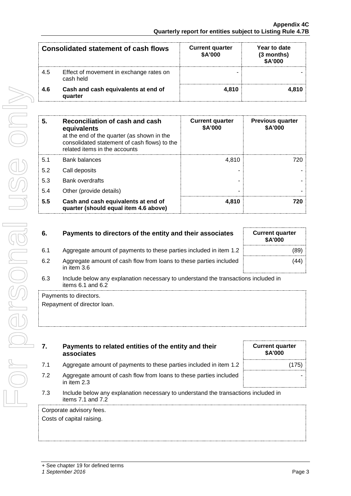| <b>Consolidated statement of cash flows</b> |                                                      | <b>Current quarter</b><br>\$A'000 | Year to date<br>(3 months)<br>\$A'000 |
|---------------------------------------------|------------------------------------------------------|-----------------------------------|---------------------------------------|
| 4.5                                         | Effect of movement in exchange rates on<br>cash held |                                   |                                       |
| 4.6                                         | Cash and cash equivalents at end of<br>quarter       | 4.810                             | 4.810                                 |

| 5   | Reconciliation of cash and cash<br>equivalents<br>at the end of the quarter (as shown in the<br>consolidated statement of cash flows) to the<br>related items in the accounts | <b>Current quarter</b><br>\$A'000 | <b>Previous quarter</b><br>\$A'000 |
|-----|-------------------------------------------------------------------------------------------------------------------------------------------------------------------------------|-----------------------------------|------------------------------------|
| 5.1 | <b>Bank balances</b>                                                                                                                                                          | 4.810                             |                                    |
| 5.2 | Call deposits                                                                                                                                                                 |                                   |                                    |
| 5.3 | <b>Bank overdrafts</b>                                                                                                                                                        |                                   |                                    |
| 5.4 | Other (provide details)                                                                                                                                                       |                                   |                                    |
| 5.5 | Cash and cash equivalents at end of<br>quarter (should equal item 4.6 above)                                                                                                  | 4.810                             |                                    |

| 6. | Payments to directors of the entity and their associates |  |
|----|----------------------------------------------------------|--|
|    |                                                          |  |

- 6.1 Aggregate amount of payments to these parties included in item 1.2 (89)
- 6.2 Aggregate amount of cash flow from loans to these parties included in item 3.6
- 6.3 Include below any explanation necessary to understand the transactions included in items 6.1 and 6.2

Payments to directors.

For personal use only

IBUOSTOS IO

JSC ONN

Repayment of director loan.

| Payments to related entities of the entity and their<br>associates |
|--------------------------------------------------------------------|
|                                                                    |

- 7.1 Aggregate amount of payments to these parties included in item 1.2 | (175)
- 7.2 Aggregate amount of cash flow from loans to these parties included in item 2.3
- 7.3 Include below any explanation necessary to understand the transactions included in items 7.1 and 7.2

Corporate advisory fees.

Costs of capital raising.

**6.** Current quarter **\$A'000**

(44)

|  | + See chapter 19 for defined terms |  |  |
|--|------------------------------------|--|--|
|  |                                    |  |  |

*1 September 2016* Page 3

-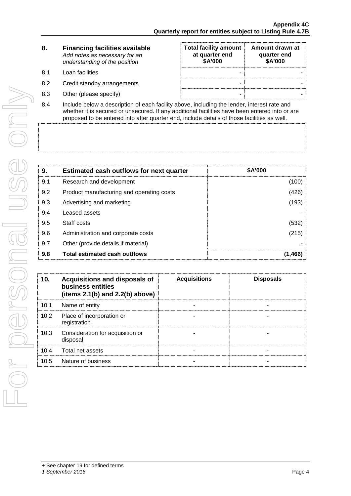| 8. | <b>Financing facilities available</b> |
|----|---------------------------------------|
|    | Add notes as necessary for an         |
|    | understanding of the position         |

- 
- 
- 
- **Total facility amount at quarter end \$A'000 Amount drawn at quarter end \$A'000** 8.1 Loan facilities - - 8.2 Credit standby arrangements and the standard standard standard standard standard standard standard standard standard standard standard standard standard standard standard standard standard standard standard standard st 8.3 Other (please specify) and the set of the set of the set of the set of the set of the set of the set of the set of the set of the set of the set of the set of the set of the set of the set of the set of the set of the
- 8.4 Include below a description of each facility above, including the lender, interest rate and whether it is secured or unsecured. If any additional facilities have been entered into or are proposed to be entered into after quarter end, include details of those facilities as well.

| 9.  | <b>Estimated cash outflows for next quarter</b> | \$A'000 |
|-----|-------------------------------------------------|---------|
| 9.1 | Research and development                        | (100    |
| 9.2 | Product manufacturing and operating costs       | (426)   |
| 9.3 | Advertising and marketing                       | (193)   |
| 9.4 | Leased assets                                   |         |
| 9.5 | Staff costs                                     | (532)   |
| 9.6 | Administration and corporate costs              | (215)   |
| 9.7 | Other (provide details if material)             |         |
| 9.8 | Total estimated cash outflows                   |         |

| 10.  | <b>Acquisitions and disposals of</b><br>business entities<br>(items $2.1(b)$ and $2.2(b)$ above) | <b>Acquisitions</b> | <b>Disposals</b> |
|------|--------------------------------------------------------------------------------------------------|---------------------|------------------|
| 10.1 | Name of entity                                                                                   |                     |                  |
| 10.2 | Place of incorporation or<br>registration                                                        |                     |                  |
| 10.3 | Consideration for acquisition or<br>disposal                                                     |                     |                  |
| 10.4 | Total net assets                                                                                 |                     |                  |
| 10.5 | Nature of business                                                                               |                     |                  |